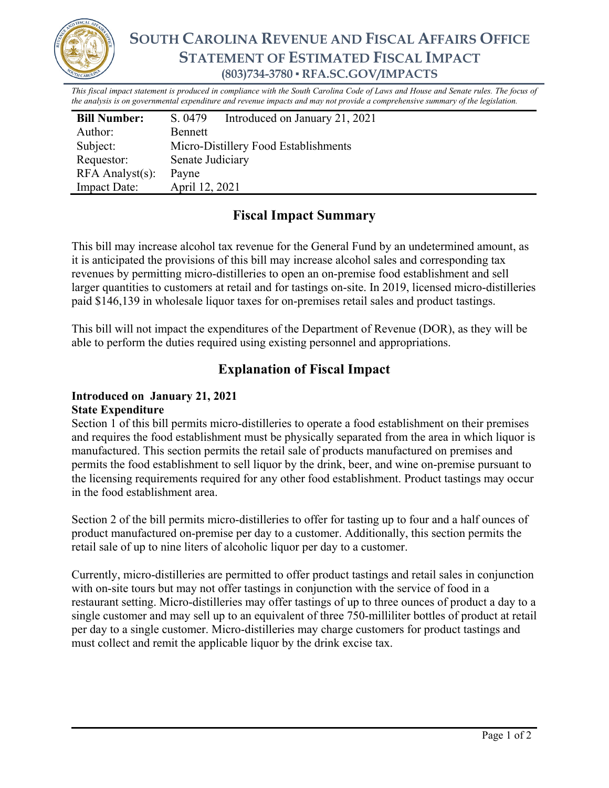

# **SOUTH CAROLINA REVENUE AND FISCAL AFFAIRS OFFICE STATEMENT OF ESTIMATED FISCAL IMPACT (803)734-3780 ▪ RFA.SC.GOV/IMPACTS**

*This fiscal impact statement is produced in compliance with the South Carolina Code of Laws and House and Senate rules. The focus of the analysis is on governmental expenditure and revenue impacts and may not provide a comprehensive summary of the legislation.*

| <b>Bill Number:</b>   | S. 0479                              | Introduced on January 21, 2021 |
|-----------------------|--------------------------------------|--------------------------------|
| Author:               | Bennett                              |                                |
| Subject:              | Micro-Distillery Food Establishments |                                |
| Requestor:            | Senate Judiciary                     |                                |
| $RFA$ Analyst $(s)$ : | Payne                                |                                |
| <b>Impact Date:</b>   | April 12, 2021                       |                                |

## **Fiscal Impact Summary**

This bill may increase alcohol tax revenue for the General Fund by an undetermined amount, as it is anticipated the provisions of this bill may increase alcohol sales and corresponding tax revenues by permitting micro-distilleries to open an on-premise food establishment and sell larger quantities to customers at retail and for tastings on-site. In 2019, licensed micro-distilleries paid \$146,139 in wholesale liquor taxes for on-premises retail sales and product tastings.

This bill will not impact the expenditures of the Department of Revenue (DOR), as they will be able to perform the duties required using existing personnel and appropriations.

### **Explanation of Fiscal Impact**

### **Introduced on January 21, 2021 State Expenditure**

Section 1 of this bill permits micro-distilleries to operate a food establishment on their premises and requires the food establishment must be physically separated from the area in which liquor is manufactured. This section permits the retail sale of products manufactured on premises and permits the food establishment to sell liquor by the drink, beer, and wine on-premise pursuant to the licensing requirements required for any other food establishment. Product tastings may occur in the food establishment area.

Section 2 of the bill permits micro-distilleries to offer for tasting up to four and a half ounces of product manufactured on-premise per day to a customer. Additionally, this section permits the retail sale of up to nine liters of alcoholic liquor per day to a customer.

Currently, micro-distilleries are permitted to offer product tastings and retail sales in conjunction with on-site tours but may not offer tastings in conjunction with the service of food in a restaurant setting. Micro-distilleries may offer tastings of up to three ounces of product a day to a single customer and may sell up to an equivalent of three 750-milliliter bottles of product at retail per day to a single customer. Micro-distilleries may charge customers for product tastings and must collect and remit the applicable liquor by the drink excise tax.